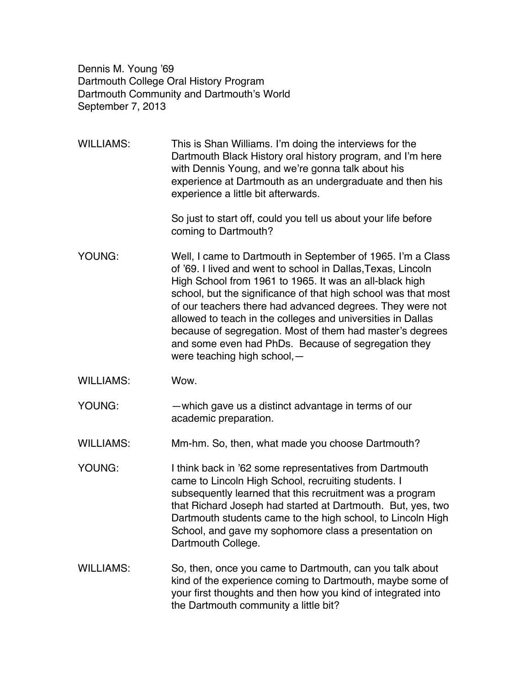Dennis M. Young '69 Dartmouth College Oral History Program Dartmouth Community and Dartmouth's World September 7, 2013

WILLIAMS: This is Shan Williams. I'm doing the interviews for the Dartmouth Black History oral history program, and I'm here with Dennis Young, and we're gonna talk about his experience at Dartmouth as an undergraduate and then his experience a little bit afterwards.

> So just to start off, could you tell us about your life before coming to Dartmouth?

- YOUNG: Well, I came to Dartmouth in September of 1965. I'm a Class of '69. I lived and went to school in Dallas,Texas, Lincoln High School from 1961 to 1965. It was an all-black high school, but the significance of that high school was that most of our teachers there had advanced degrees. They were not allowed to teach in the colleges and universities in Dallas because of segregation. Most of them had master's degrees and some even had PhDs. Because of segregation they were teaching high school,—
- WILLIAMS: Wow.
- YOUNG: —which gave us a distinct advantage in terms of our academic preparation.

WILLIAMS: Mm-hm. So, then, what made you choose Dartmouth?

- YOUNG: I think back in '62 some representatives from Dartmouth came to Lincoln High School, recruiting students. I subsequently learned that this recruitment was a program that Richard Joseph had started at Dartmouth. But, yes, two Dartmouth students came to the high school, to Lincoln High School, and gave my sophomore class a presentation on Dartmouth College.
- WILLIAMS: So, then, once you came to Dartmouth, can you talk about kind of the experience coming to Dartmouth, maybe some of your first thoughts and then how you kind of integrated into the Dartmouth community a little bit?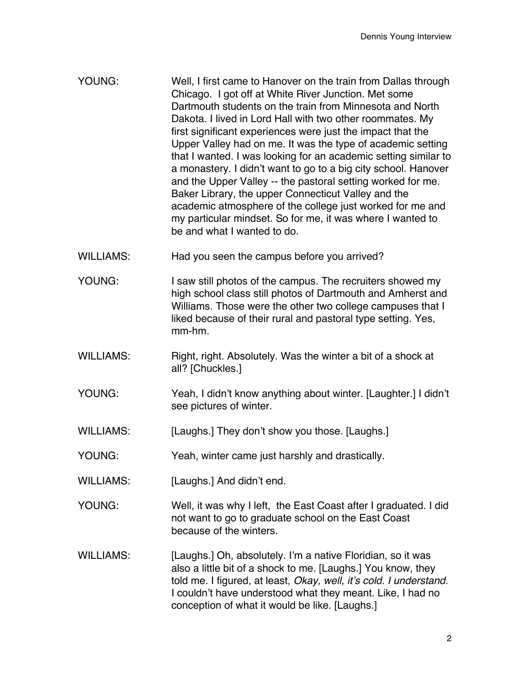- YOUNG: Well, I first came to Hanover on the train from Dallas through Chicago. I got off at White River Junction. Met some Dartmouth students on the train from Minnesota and North Dakota. I lived in Lord Hall with two other roommates. My first significant experiences were just the impact that the Upper Valley had on me. It was the type of academic setting that I wanted. I was looking for an academic setting similar to a monastery. I didn't want to go to a big city school. Hanover and the Upper Valley -- the pastoral setting worked for me. Baker Library, the upper Connecticut Valley and the academic atmosphere of the college just worked for me and my particular mindset. So for me, it was where I wanted to be and what I wanted to do.
- WILLIAMS: Had you seen the campus before you arrived?
- YOUNG: I saw still photos of the campus. The recruiters showed my high school class still photos of Dartmouth and Amherst and Williams. Those were the other two college campuses that I liked because of their rural and pastoral type setting. Yes, mm-hm.
- WILLIAMS: Right, right. Absolutely. Was the winter a bit of a shock at all? [Chuckles.]
- YOUNG: Yeah, I didn't know anything about winter. [Laughter.] I didn't see pictures of winter.
- WILLIAMS: [Laughs.] They don't show you those. [Laughs.]
- YOUNG: Yeah, winter came just harshly and drastically.
- WILLIAMS: [Laughs.] And didn't end.
- YOUNG: Well, it was why I left, the East Coast after I graduated. I did not want to go to graduate school on the East Coast because of the winters.
- WILLIAMS: [Laughs.] Oh, absolutely. I'm a native Floridian, so it was also a little bit of a shock to me. [Laughs.] You know, they told me. I figured, at least, *Okay, well, it's cold. I understand.*  I couldn't have understood what they meant. Like, I had no conception of what it would be like. [Laughs.]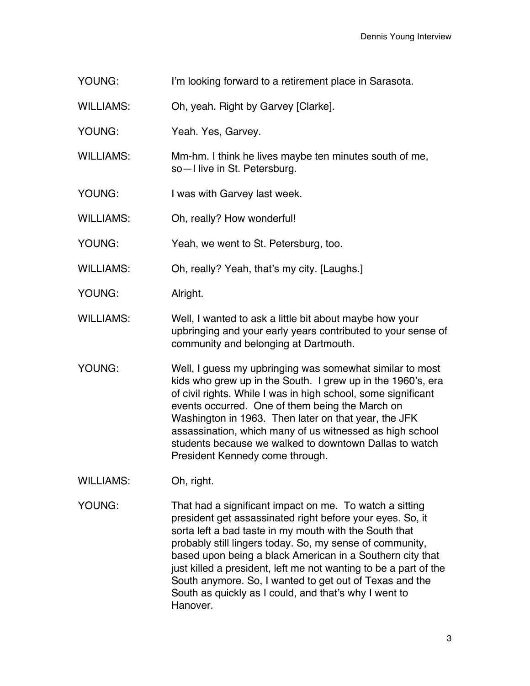- YOUNG: I'm looking forward to a retirement place in Sarasota.
- WILLIAMS: Oh, yeah. Right by Garvey [Clarke].
- YOUNG: Yeah. Yes, Garvey.
- WILLIAMS: Mm-hm. I think he lives maybe ten minutes south of me, so—I live in St. Petersburg.
- YOUNG: I was with Garvey last week.
- WILLIAMS: Oh, really? How wonderful!
- YOUNG: Yeah, we went to St. Petersburg, too.
- WILLIAMS: Oh, really? Yeah, that's my city. [Laughs.]
- YOUNG: Alright.
- WILLIAMS: Well, I wanted to ask a little bit about maybe how your upbringing and your early years contributed to your sense of community and belonging at Dartmouth.
- YOUNG: Well, I guess my upbringing was somewhat similar to most kids who grew up in the South. I grew up in the 1960's, era of civil rights. While I was in high school, some significant events occurred. One of them being the March on Washington in 1963. Then later on that year, the JFK assassination, which many of us witnessed as high school students because we walked to downtown Dallas to watch President Kennedy come through.
- WILLIAMS: Oh, right.
- YOUNG: That had a significant impact on me. To watch a sitting president get assassinated right before your eyes. So, it sorta left a bad taste in my mouth with the South that probably still lingers today. So, my sense of community, based upon being a black American in a Southern city that just killed a president, left me not wanting to be a part of the South anymore. So, I wanted to get out of Texas and the South as quickly as I could, and that's why I went to Hanover.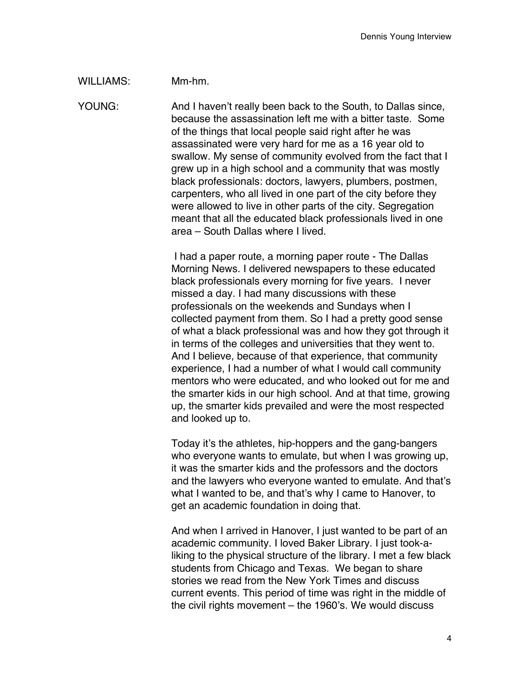#### WILLIAMS: Mm-hm.

YOUNG: And I haven't really been back to the South, to Dallas since, because the assassination left me with a bitter taste. Some of the things that local people said right after he was assassinated were very hard for me as a 16 year old to swallow. My sense of community evolved from the fact that I grew up in a high school and a community that was mostly black professionals: doctors, lawyers, plumbers, postmen, carpenters, who all lived in one part of the city before they were allowed to live in other parts of the city. Segregation meant that all the educated black professionals lived in one area – South Dallas where I lived.

> I had a paper route, a morning paper route - The Dallas Morning News. I delivered newspapers to these educated black professionals every morning for five years. I never missed a day. I had many discussions with these professionals on the weekends and Sundays when I collected payment from them. So I had a pretty good sense of what a black professional was and how they got through it in terms of the colleges and universities that they went to. And I believe, because of that experience, that community experience, I had a number of what I would call community mentors who were educated, and who looked out for me and the smarter kids in our high school. And at that time, growing up, the smarter kids prevailed and were the most respected and looked up to.

> Today it's the athletes, hip-hoppers and the gang-bangers who everyone wants to emulate, but when I was growing up, it was the smarter kids and the professors and the doctors and the lawyers who everyone wanted to emulate. And that's what I wanted to be, and that's why I came to Hanover, to get an academic foundation in doing that.

> And when I arrived in Hanover, I just wanted to be part of an academic community. I loved Baker Library. I just took-aliking to the physical structure of the library. I met a few black students from Chicago and Texas. We began to share stories we read from the New York Times and discuss current events. This period of time was right in the middle of the civil rights movement – the 1960's. We would discuss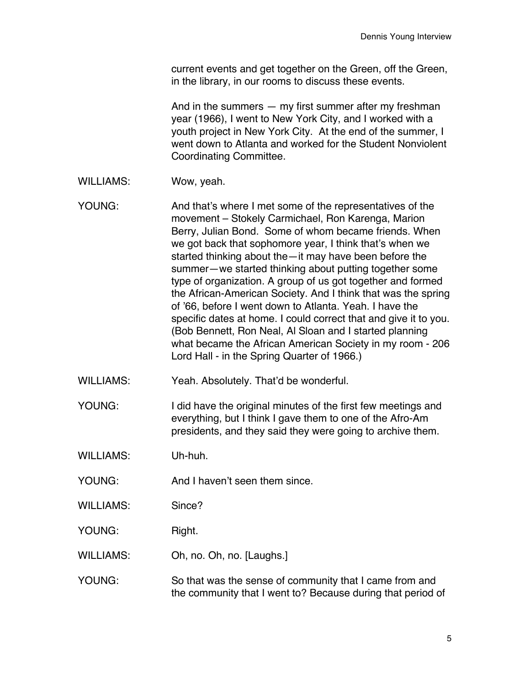current events and get together on the Green, off the Green, in the library, in our rooms to discuss these events.

And in the summers — my first summer after my freshman year (1966), I went to New York City, and I worked with a youth project in New York City. At the end of the summer, I went down to Atlanta and worked for the Student Nonviolent Coordinating Committee.

WILLIAMS: Wow, yeah.

YOUNG: And that's where I met some of the representatives of the movement – Stokely Carmichael, Ron Karenga, Marion Berry, Julian Bond. Some of whom became friends. When we got back that sophomore year, I think that's when we started thinking about the—it may have been before the summer—we started thinking about putting together some type of organization. A group of us got together and formed the African-American Society. And I think that was the spring of '66, before I went down to Atlanta. Yeah. I have the specific dates at home. I could correct that and give it to you. (Bob Bennett, Ron Neal, Al Sloan and I started planning what became the African American Society in my room - 206 Lord Hall - in the Spring Quarter of 1966.)

WILLIAMS: Yeah. Absolutely. That'd be wonderful.

YOUNG: I did have the original minutes of the first few meetings and everything, but I think I gave them to one of the Afro-Am presidents, and they said they were going to archive them.

WILLIAMS: Uh-huh.

YOUNG: And I haven't seen them since.

WILLIAMS: Since?

YOUNG: Right.

WILLIAMS: Oh, no. Oh, no. [Laughs.]

YOUNG: So that was the sense of community that I came from and the community that I went to? Because during that period of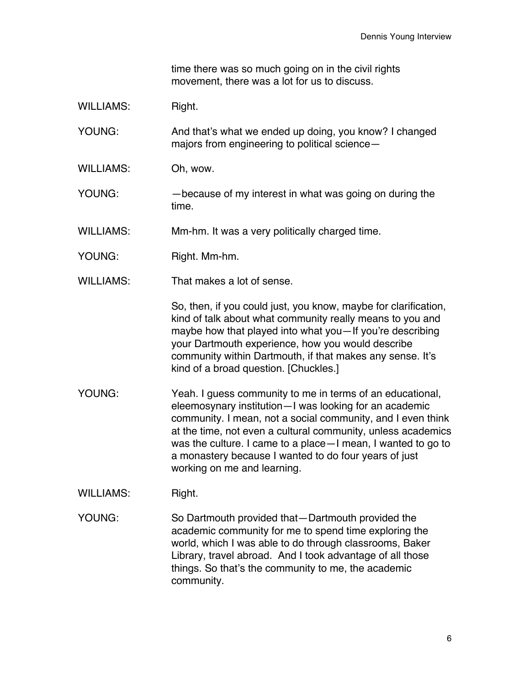time there was so much going on in the civil rights movement, there was a lot for us to discuss.

WILLIAMS: Right.

YOUNG: And that's what we ended up doing, you know? I changed majors from engineering to political science—

WILLIAMS: Oh, wow.

YOUNG: — — because of my interest in what was going on during the time.

WILLIAMS: Mm-hm. It was a very politically charged time.

YOUNG: Right. Mm-hm.

WILLIAMS: That makes a lot of sense.

So, then, if you could just, you know, maybe for clarification, kind of talk about what community really means to you and maybe how that played into what you—If you're describing your Dartmouth experience, how you would describe community within Dartmouth, if that makes any sense. It's kind of a broad question. [Chuckles.]

YOUNG: Yeah. I guess community to me in terms of an educational, eleemosynary institution—I was looking for an academic community. I mean, not a social community, and I even think at the time, not even a cultural community, unless academics was the culture. I came to a place—I mean, I wanted to go to a monastery because I wanted to do four years of just working on me and learning.

WILLIAMS: Right.

YOUNG: So Dartmouth provided that—Dartmouth provided the academic community for me to spend time exploring the world, which I was able to do through classrooms, Baker Library, travel abroad. And I took advantage of all those things. So that's the community to me, the academic community.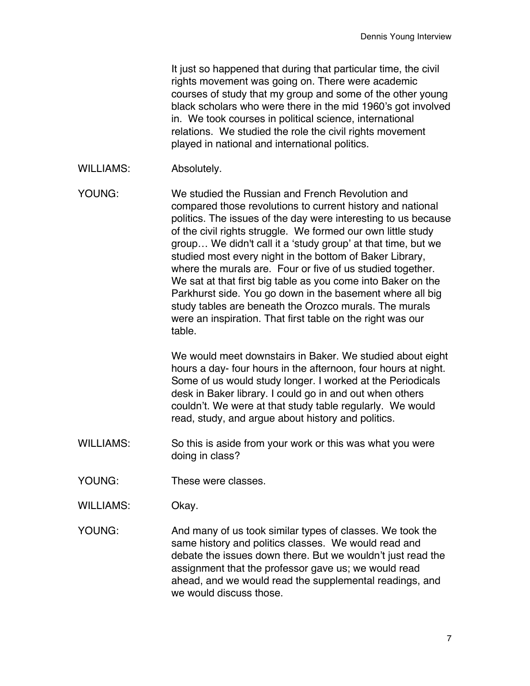It just so happened that during that particular time, the civil rights movement was going on. There were academic courses of study that my group and some of the other young black scholars who were there in the mid 1960's got involved in. We took courses in political science, international relations. We studied the role the civil rights movement played in national and international politics.

WILLIAMS: Absolutely.

YOUNG: We studied the Russian and French Revolution and compared those revolutions to current history and national politics. The issues of the day were interesting to us because of the civil rights struggle. We formed our own little study group… We didn't call it a 'study group' at that time, but we studied most every night in the bottom of Baker Library, where the murals are. Four or five of us studied together. We sat at that first big table as you come into Baker on the Parkhurst side. You go down in the basement where all big study tables are beneath the Orozco murals. The murals were an inspiration. That first table on the right was our table.

> We would meet downstairs in Baker. We studied about eight hours a day- four hours in the afternoon, four hours at night. Some of us would study longer. I worked at the Periodicals desk in Baker library. I could go in and out when others couldn't. We were at that study table regularly. We would read, study, and argue about history and politics.

- WILLIAMS: So this is aside from your work or this was what you were doing in class?
- YOUNG: These were classes.
- WILLIAMS: Okay.

YOUNG: And many of us took similar types of classes. We took the same history and politics classes. We would read and debate the issues down there. But we wouldn't just read the assignment that the professor gave us; we would read ahead, and we would read the supplemental readings, and we would discuss those.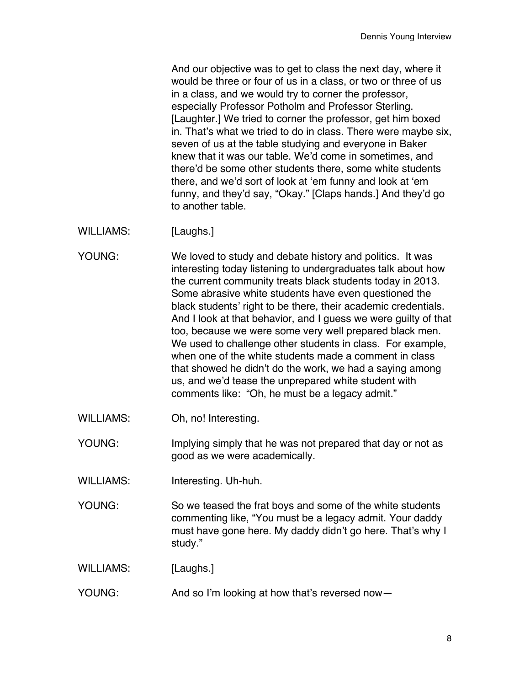And our objective was to get to class the next day, where it would be three or four of us in a class, or two or three of us in a class, and we would try to corner the professor, especially Professor Potholm and Professor Sterling. [Laughter.] We tried to corner the professor, get him boxed in. That's what we tried to do in class. There were maybe six, seven of us at the table studying and everyone in Baker knew that it was our table. We'd come in sometimes, and there'd be some other students there, some white students there, and we'd sort of look at 'em funny and look at 'em funny, and they'd say, "Okay." [Claps hands.] And they'd go to another table.

- WILLIAMS: [Laughs.]
- YOUNG: We loved to study and debate history and politics. It was interesting today listening to undergraduates talk about how the current community treats black students today in 2013. Some abrasive white students have even questioned the black students' right to be there, their academic credentials. And I look at that behavior, and I guess we were guilty of that too, because we were some very well prepared black men. We used to challenge other students in class. For example, when one of the white students made a comment in class that showed he didn't do the work, we had a saying among us, and we'd tease the unprepared white student with comments like: "Oh, he must be a legacy admit."
- WILLIAMS: Oh, no! Interesting.

YOUNG: Implying simply that he was not prepared that day or not as good as we were academically.

WILLIAMS: Interesting. Uh-huh.

YOUNG: So we teased the frat boys and some of the white students commenting like, "You must be a legacy admit. Your daddy must have gone here. My daddy didn't go here. That's why I study."

WILLIAMS: [Laughs.]

YOUNG: And so I'm looking at how that's reversed now-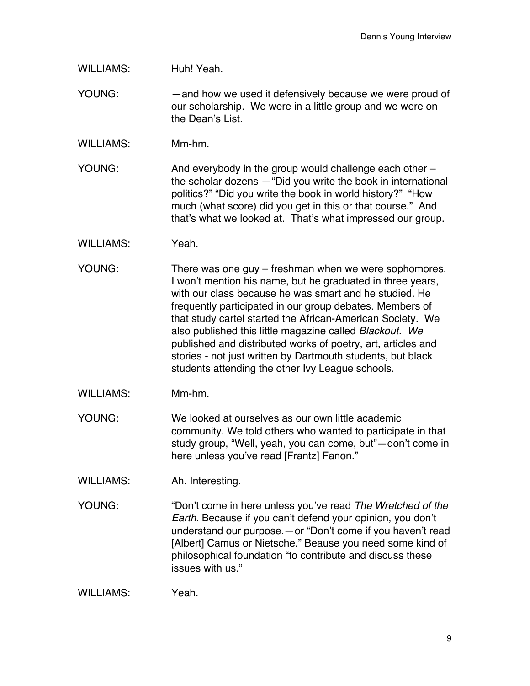#### WILLIAMS: Huh! Yeah.

- YOUNG: —and how we used it defensively because we were proud of our scholarship. We were in a little group and we were on the Dean's List.
- WILLIAMS: Mm-hm.

YOUNG: And everybody in the group would challenge each other – the scholar dozens —"Did you write the book in international politics?" "Did you write the book in world history?" "How much (what score) did you get in this or that course." And that's what we looked at. That's what impressed our group.

- WILLIAMS: Yeah.
- YOUNG: There was one guy freshman when we were sophomores. I won't mention his name, but he graduated in three years, with our class because he was smart and he studied. He frequently participated in our group debates. Members of that study cartel started the African-American Society. We also published this little magazine called *Blackout. We* published and distributed works of poetry, art, articles and stories - not just written by Dartmouth students, but black students attending the other Ivy League schools.
- WILLIAMS: Mm-hm.
- YOUNG: We looked at ourselves as our own little academic community. We told others who wanted to participate in that study group, "Well, yeah, you can come, but"—don't come in here unless you've read [Frantz] Fanon."
- WILLIAMS: Ah. Interesting.
- YOUNG: "Don't come in here unless you've read *The Wretched of the Earth*. Because if you can't defend your opinion, you don't understand our purpose.—or "Don't come if you haven't read [Albert] Camus or Nietsche." Beause you need some kind of philosophical foundation "to contribute and discuss these issues with us."

WILLIAMS: Yeah.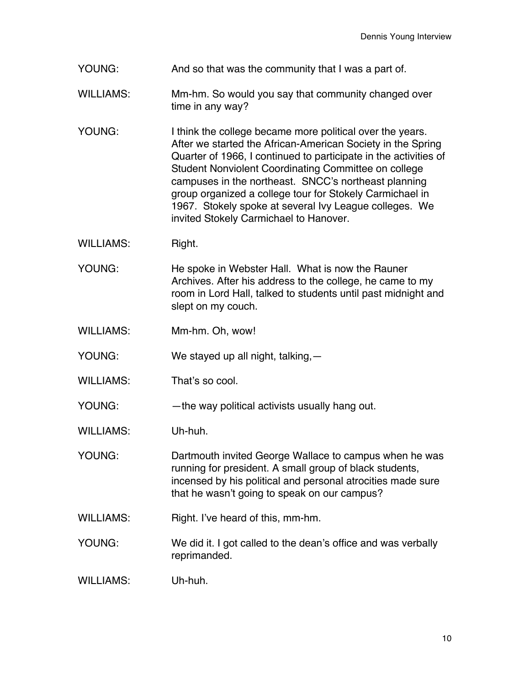- YOUNG: And so that was the community that I was a part of.
- WILLIAMS: Mm-hm. So would you say that community changed over time in any way?
- YOUNG: I think the college became more political over the years. After we started the African-American Society in the Spring Quarter of 1966, I continued to participate in the activities of Student Nonviolent Coordinating Committee on college campuses in the northeast. SNCC's northeast planning group organized a college tour for Stokely Carmichael in 1967. Stokely spoke at several Ivy League colleges. We invited Stokely Carmichael to Hanover.
- WILLIAMS: Right.
- YOUNG: He spoke in Webster Hall. What is now the Rauner Archives. After his address to the college, he came to my room in Lord Hall, talked to students until past midnight and slept on my couch.
- WILLIAMS: Mm-hm. Oh, wow!
- YOUNG: We stayed up all night, talking, -
- WILLIAMS: That's so cool.
- YOUNG: —the way political activists usually hang out.
- WILLIAMS: Uh-huh.
- YOUNG: Dartmouth invited George Wallace to campus when he was running for president. A small group of black students, incensed by his political and personal atrocities made sure that he wasn't going to speak on our campus?
- WILLIAMS: Right. I've heard of this, mm-hm.
- YOUNG: We did it. I got called to the dean's office and was verbally reprimanded.
- WILLIAMS: Uh-huh.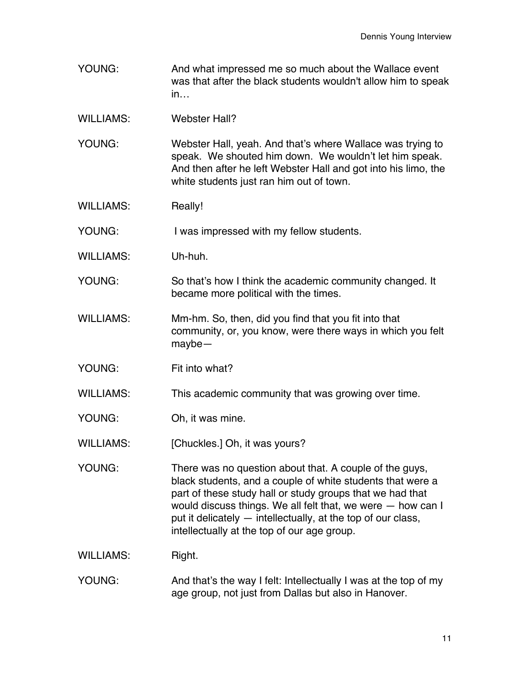- YOUNG: And what impressed me so much about the Wallace event was that after the black students wouldn't allow him to speak in…
- WILLIAMS: Webster Hall?

YOUNG: Webster Hall, yeah. And that's where Wallace was trying to speak. We shouted him down. We wouldn't let him speak. And then after he left Webster Hall and got into his limo, the white students just ran him out of town.

WILLIAMS: Really!

YOUNG: I was impressed with my fellow students.

- WILLIAMS: Uh-huh.
- YOUNG: So that's how I think the academic community changed. It became more political with the times.
- WILLIAMS: Mm-hm. So, then, did you find that you fit into that community, or, you know, were there ways in which you felt maybe—
- YOUNG: Fit into what?
- WILLIAMS: This academic community that was growing over time.
- YOUNG: Oh, it was mine.

WILLIAMS: [Chuckles.] Oh, it was yours?

- YOUNG: There was no question about that. A couple of the guys, black students, and a couple of white students that were a part of these study hall or study groups that we had that would discuss things. We all felt that, we were — how can I put it delicately — intellectually, at the top of our class, intellectually at the top of our age group.
- WILLIAMS: Right.
- YOUNG: And that's the way I felt: Intellectually I was at the top of my age group, not just from Dallas but also in Hanover.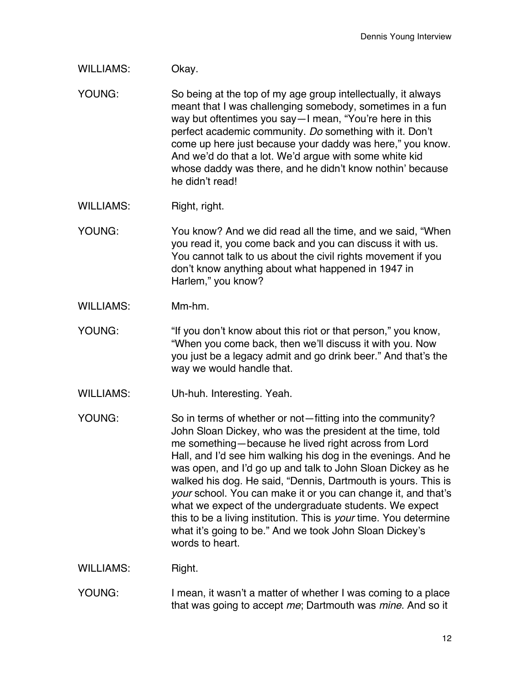## WILLIAMS: Okay.

YOUNG: So being at the top of my age group intellectually, it always meant that I was challenging somebody, sometimes in a fun way but oftentimes you say—I mean, "You're here in this perfect academic community. *Do* something with it. Don't come up here just because your daddy was here," you know. And we'd do that a lot. We'd argue with some white kid whose daddy was there, and he didn't know nothin' because he didn't read!

WILLIAMS: Right, right.

YOUNG: You know? And we did read all the time, and we said, "When you read it, you come back and you can discuss it with us. You cannot talk to us about the civil rights movement if you don't know anything about what happened in 1947 in Harlem," you know?

- WILLIAMS: Mm-hm.
- YOUNG: "If you don't know about this riot or that person," you know, "When you come back, then we'll discuss it with you. Now you just be a legacy admit and go drink beer." And that's the way we would handle that.
- WILLIAMS: Uh-huh. Interesting. Yeah.
- YOUNG: So in terms of whether or not—fitting into the community? John Sloan Dickey, who was the president at the time, told me something—because he lived right across from Lord Hall, and I'd see him walking his dog in the evenings. And he was open, and I'd go up and talk to John Sloan Dickey as he walked his dog. He said, "Dennis, Dartmouth is yours. This is *your* school. You can make it or you can change it, and that's what we expect of the undergraduate students. We expect this to be a living institution. This is *your* time. You determine what it's going to be." And we took John Sloan Dickey's words to heart.

WILLIAMS: Right.

YOUNG: I mean, it wasn't a matter of whether I was coming to a place that was going to accept *me*; Dartmouth was *mine*. And so it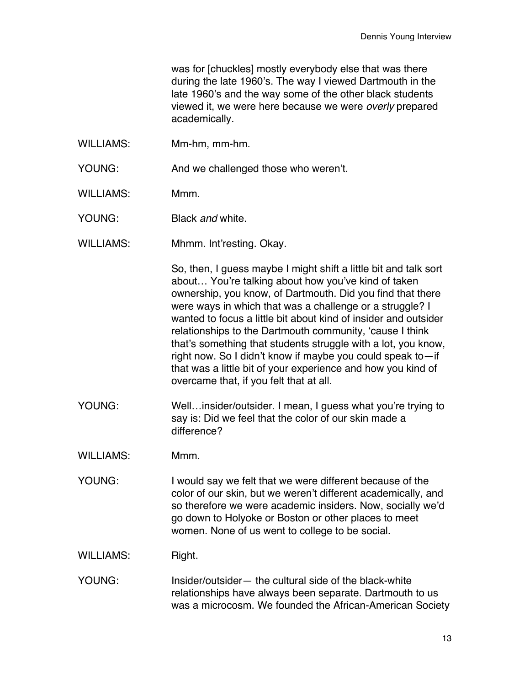was for [chuckles] mostly everybody else that was there during the late 1960's. The way I viewed Dartmouth in the late 1960's and the way some of the other black students viewed it, we were here because we were *overly* prepared academically.

WILLIAMS: Mm-hm, mm-hm.

YOUNG: And we challenged those who weren't.

WILLIAMS: Mmm.

YOUNG: Black *and* white.

WILLIAMS: Mhmm. Int'resting. Okay.

So, then, I guess maybe I might shift a little bit and talk sort about… You're talking about how you've kind of taken ownership, you know, of Dartmouth. Did you find that there were ways in which that was a challenge or a struggle? I wanted to focus a little bit about kind of insider and outsider relationships to the Dartmouth community, 'cause I think that's something that students struggle with a lot, you know, right now. So I didn't know if maybe you could speak to—if that was a little bit of your experience and how you kind of overcame that, if you felt that at all.

- YOUNG: Well…insider/outsider. I mean, I guess what you're trying to say is: Did we feel that the color of our skin made a difference?
- WILLIAMS: Mmm.
- YOUNG: I would say we felt that we were different because of the color of our skin, but we weren't different academically, and so therefore we were academic insiders. Now, socially we'd go down to Holyoke or Boston or other places to meet women. None of us went to college to be social.

WILLIAMS: Right.

YOUNG: Insider/outsider— the cultural side of the black-white relationships have always been separate. Dartmouth to us was a microcosm. We founded the African-American Society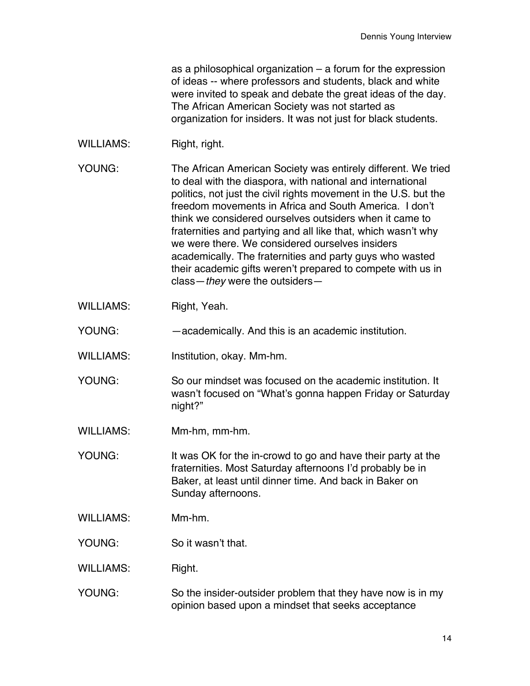as a philosophical organization – a forum for the expression of ideas -- where professors and students, black and white were invited to speak and debate the great ideas of the day. The African American Society was not started as organization for insiders. It was not just for black students.

WILLIAMS: Right, right.

YOUNG: The African American Society was entirely different. We tried to deal with the diaspora, with national and international politics, not just the civil rights movement in the U.S. but the freedom movements in Africa and South America. I don't think we considered ourselves outsiders when it came to fraternities and partying and all like that, which wasn't why we were there. We considered ourselves insiders academically. The fraternities and party guys who wasted their academic gifts weren't prepared to compete with us in class—*they* were the outsiders—

- WILLIAMS: Right, Yeah.
- YOUNG: —academically. And this is an academic institution.
- WILLIAMS: Institution, okay. Mm-hm.
- YOUNG: So our mindset was focused on the academic institution. It wasn't focused on "What's gonna happen Friday or Saturday night?"
- WILLIAMS: Mm-hm, mm-hm.
- YOUNG: It was OK for the in-crowd to go and have their party at the fraternities. Most Saturday afternoons I'd probably be in Baker, at least until dinner time. And back in Baker on Sunday afternoons.
- WILLIAMS: Mm-hm.
- YOUNG: So it wasn't that.
- WILLIAMS: Right.
- YOUNG: So the insider-outsider problem that they have now is in my opinion based upon a mindset that seeks acceptance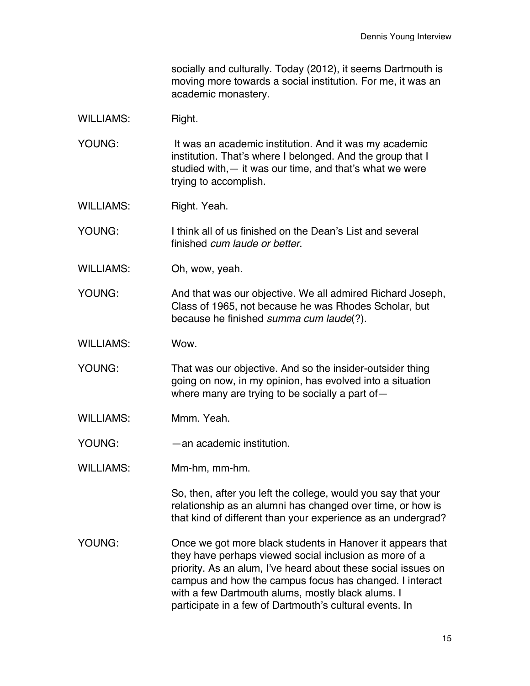socially and culturally. Today (2012), it seems Dartmouth is moving more towards a social institution. For me, it was an academic monastery.

WILLIAMS: Right.

YOUNG: It was an academic institution. And it was my academic institution. That's where I belonged. And the group that I studied with,— it was our time, and that's what we were trying to accomplish.

WILLIAMS: Right. Yeah.

YOUNG: I think all of us finished on the Dean's List and several finished *cum laude or better*.

WILLIAMS: Oh, wow, yeah.

YOUNG: And that was our objective. We all admired Richard Joseph, Class of 1965, not because he was Rhodes Scholar, but because he finished *summa cum laude*(?).

WILLIAMS: Wow.

YOUNG: That was our objective. And so the insider-outsider thing going on now, in my opinion, has evolved into a situation where many are trying to be socially a part of—

WILLIAMS: Mmm. Yeah.

YOUNG: — — an academic institution.

WILLIAMS: Mm-hm, mm-hm.

So, then, after you left the college, would you say that your relationship as an alumni has changed over time, or how is that kind of different than your experience as an undergrad?

YOUNG: Once we got more black students in Hanover it appears that they have perhaps viewed social inclusion as more of a priority. As an alum, I've heard about these social issues on campus and how the campus focus has changed. I interact with a few Dartmouth alums, mostly black alums. I participate in a few of Dartmouth's cultural events. In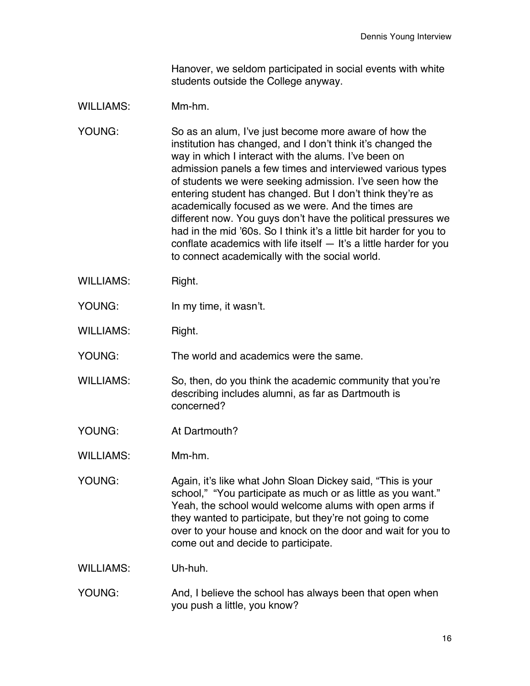Hanover, we seldom participated in social events with white students outside the College anyway.

## WILLIAMS: Mm-hm.

- YOUNG: So as an alum, I've just become more aware of how the institution has changed, and I don't think it's changed the way in which I interact with the alums. I've been on admission panels a few times and interviewed various types of students we were seeking admission. I've seen how the entering student has changed. But I don't think they're as academically focused as we were. And the times are different now. You guys don't have the political pressures we had in the mid '60s. So I think it's a little bit harder for you to conflate academics with life itself — It's a little harder for you to connect academically with the social world.
- WILLIAMS: Right.
- YOUNG: In my time, it wasn't.
- WILLIAMS: Right.

YOUNG: The world and academics were the same.

- WILLIAMS: So, then, do you think the academic community that you're describing includes alumni, as far as Dartmouth is concerned?
- YOUNG: At Dartmouth?
- WILLIAMS: Mm-hm.

YOUNG: Again, it's like what John Sloan Dickey said, "This is your school," "You participate as much or as little as you want." Yeah, the school would welcome alums with open arms if they wanted to participate, but they're not going to come over to your house and knock on the door and wait for you to come out and decide to participate.

WILLIAMS: Uh-huh.

YOUNG: And, I believe the school has always been that open when you push a little, you know?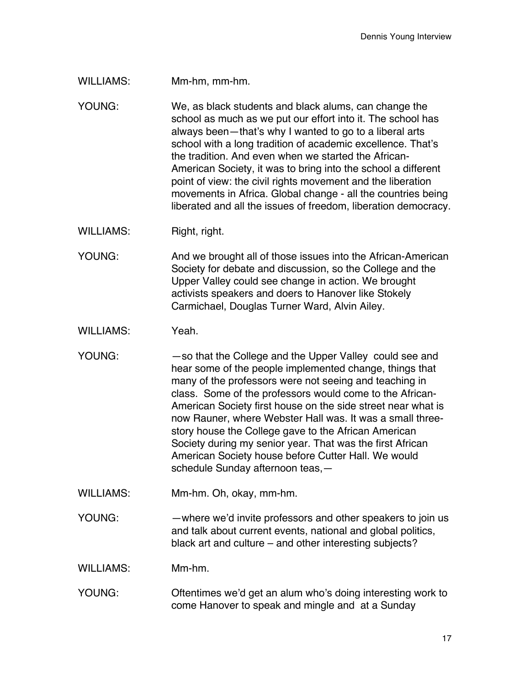#### WILLIAMS: Mm-hm, mm-hm.

YOUNG: We, as black students and black alums, can change the school as much as we put our effort into it. The school has always been—that's why I wanted to go to a liberal arts school with a long tradition of academic excellence. That's the tradition. And even when we started the African-American Society, it was to bring into the school a different point of view: the civil rights movement and the liberation movements in Africa. Global change - all the countries being liberated and all the issues of freedom, liberation democracy.

WILLIAMS: Right, right.

YOUNG: And we brought all of those issues into the African-American Society for debate and discussion, so the College and the Upper Valley could see change in action. We brought activists speakers and doers to Hanover like Stokely Carmichael, Douglas Turner Ward, Alvin Ailey.

WILLIAMS: Yeah.

YOUNG: — so that the College and the Upper Valley could see and hear some of the people implemented change, things that many of the professors were not seeing and teaching in class. Some of the professors would come to the African-American Society first house on the side street near what is now Rauner, where Webster Hall was. It was a small threestory house the College gave to the African American Society during my senior year. That was the first African American Society house before Cutter Hall. We would schedule Sunday afternoon teas,—

WILLIAMS: Mm-hm. Oh, okay, mm-hm.

YOUNG: —where we'd invite professors and other speakers to join us and talk about current events, national and global politics, black art and culture – and other interesting subjects?

WILLIAMS: Mm-hm.

YOUNG: Oftentimes we'd get an alum who's doing interesting work to come Hanover to speak and mingle and at a Sunday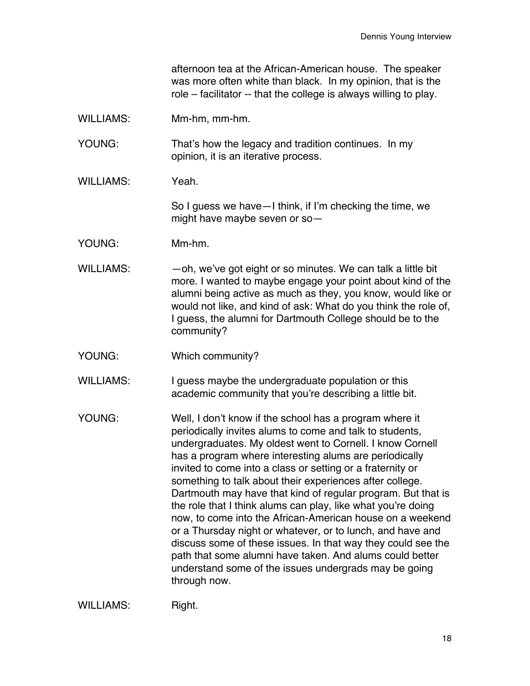afternoon tea at the African-American house. The speaker was more often white than black. In my opinion, that is the role – facilitator -- that the college is always willing to play.

WILLIAMS: Mm-hm, mm-hm.

YOUNG: That's how the legacy and tradition continues. In my opinion, it is an iterative process.

WILLIAMS: Yeah.

So I guess we have—I think, if I'm checking the time, we might have maybe seven or so—

- YOUNG: Mm-hm.
- WILLIAMS: —oh, we've got eight or so minutes. We can talk a little bit more. I wanted to maybe engage your point about kind of the alumni being active as much as they, you know, would like or would not like, and kind of ask: What do you think the role of, I guess, the alumni for Dartmouth College should be to the community?
- YOUNG: Which community?
- WILLIAMS: I guess maybe the undergraduate population or this academic community that you're describing a little bit.
- YOUNG: Well, I don't know if the school has a program where it periodically invites alums to come and talk to students, undergraduates. My oldest went to Cornell. I know Cornell has a program where interesting alums are periodically invited to come into a class or setting or a fraternity or something to talk about their experiences after college. Dartmouth may have that kind of regular program. But that is the role that I think alums can play, like what you're doing now, to come into the African-American house on a weekend or a Thursday night or whatever, or to lunch, and have and discuss some of these issues. In that way they could see the path that some alumni have taken. And alums could better understand some of the issues undergrads may be going through now.

WILLIAMS: Right.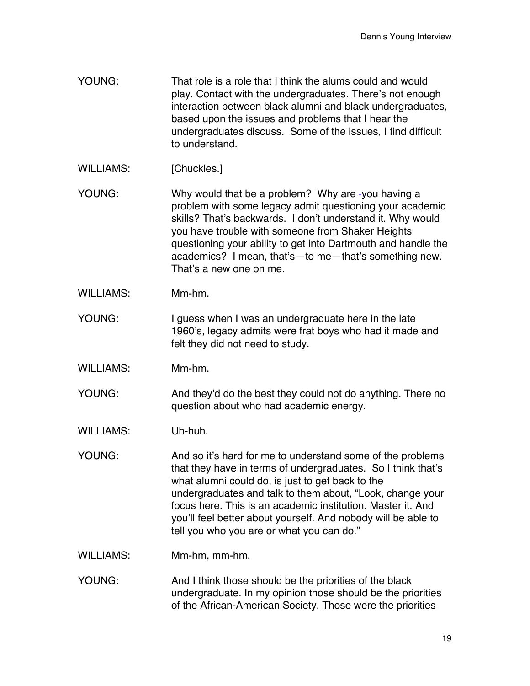- YOUNG: That role is a role that I think the alums could and would play. Contact with the undergraduates. There's not enough interaction between black alumni and black undergraduates, based upon the issues and problems that I hear the undergraduates discuss. Some of the issues, I find difficult to understand.
- WILLIAMS: [Chuckles.]
- YOUNG: Why would that be a problem? Why are -you having a problem with some legacy admit questioning your academic skills? That's backwards. I don't understand it. Why would you have trouble with someone from Shaker Heights questioning your ability to get into Dartmouth and handle the academics? I mean, that's—to me—that's something new. That's a new one on me.
- WILLIAMS: Mm-hm.
- YOUNG: I guess when I was an undergraduate here in the late 1960's, legacy admits were frat boys who had it made and felt they did not need to study.
- WILLIAMS: Mm-hm.
- YOUNG: And they'd do the best they could not do anything. There no question about who had academic energy.
- WILLIAMS: Uh-huh.
- YOUNG: And so it's hard for me to understand some of the problems that they have in terms of undergraduates. So I think that's what alumni could do, is just to get back to the undergraduates and talk to them about, "Look, change your focus here. This is an academic institution. Master it. And you'll feel better about yourself. And nobody will be able to tell you who you are or what you can do."
- WILLIAMS: Mm-hm, mm-hm.
- YOUNG: And I think those should be the priorities of the black undergraduate. In my opinion those should be the priorities of the African-American Society. Those were the priorities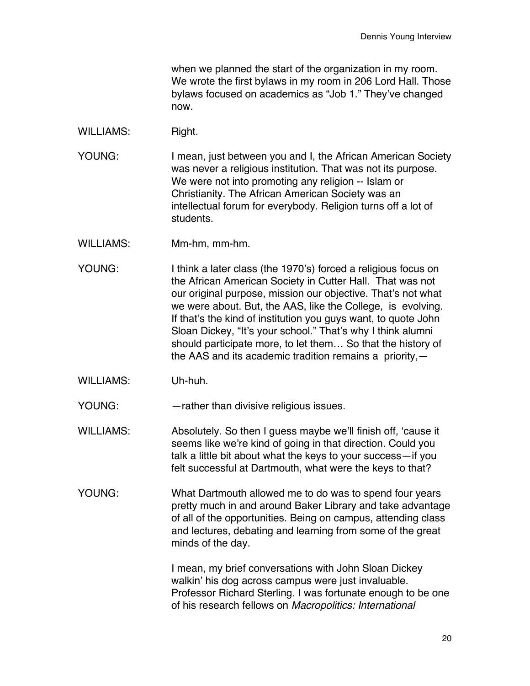when we planned the start of the organization in my room. We wrote the first bylaws in my room in 206 Lord Hall. Those bylaws focused on academics as "Job 1." They've changed now.

- WILLIAMS: Right.
- YOUNG: I mean, just between you and I, the African American Society was never a religious institution. That was not its purpose. We were not into promoting any religion -- Islam or Christianity. The African American Society was an intellectual forum for everybody. Religion turns off a lot of students.
- WILLIAMS: Mm-hm, mm-hm.
- YOUNG: I think a later class (the 1970's) forced a religious focus on the African American Society in Cutter Hall. That was not our original purpose, mission our objective. That's not what we were about. But, the AAS, like the College, is evolving. If that's the kind of institution you guys want, to quote John Sloan Dickey, "It's your school." That's why I think alumni should participate more, to let them… So that the history of the AAS and its academic tradition remains a priority,—
- WILLIAMS: Uh-huh.

YOUNG: — — rather than divisive religious issues.

- WILLIAMS: Absolutely. So then I guess maybe we'll finish off, 'cause it seems like we're kind of going in that direction. Could you talk a little bit about what the keys to your success—if you felt successful at Dartmouth, what were the keys to that?
- YOUNG: What Dartmouth allowed me to do was to spend four years pretty much in and around Baker Library and take advantage of all of the opportunities. Being on campus, attending class and lectures, debating and learning from some of the great minds of the day.

I mean, my brief conversations with John Sloan Dickey walkin' his dog across campus were just invaluable. Professor Richard Sterling. I was fortunate enough to be one of his research fellows on *Macropolitics: International*